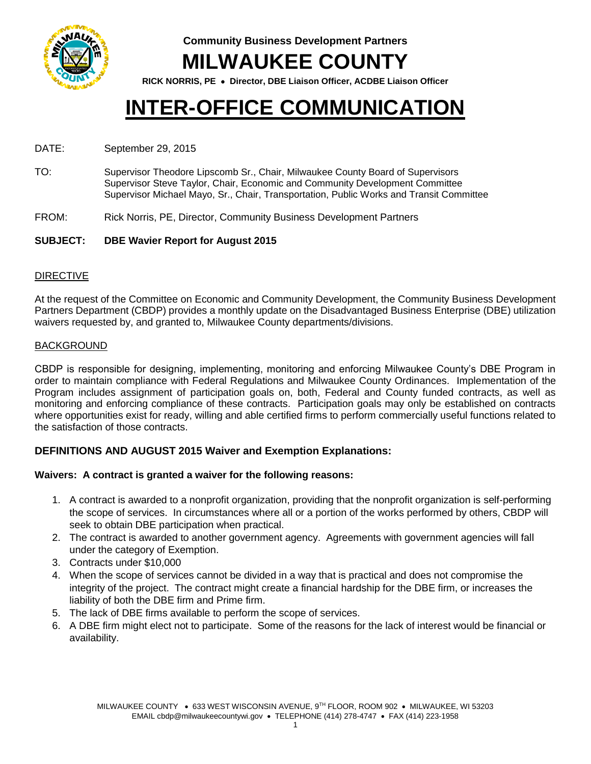

**Community Business Development Partners**

# **MILWAUKEE COUNTY**

**RICK NORRIS, PE Director, DBE Liaison Officer, ACDBE Liaison Officer**

# **INTER-OFFICE COMMUNICATION**

### DATE: September 29, 2015

TO: Supervisor Theodore Lipscomb Sr., Chair, Milwaukee County Board of Supervisors Supervisor Steve Taylor, Chair, Economic and Community Development Committee Supervisor Michael Mayo, Sr., Chair, Transportation, Public Works and Transit Committee

FROM: Rick Norris, PE, Director, Community Business Development Partners

# **SUBJECT: DBE Wavier Report for August 2015**

#### DIRECTIVE

At the request of the Committee on Economic and Community Development, the Community Business Development Partners Department (CBDP) provides a monthly update on the Disadvantaged Business Enterprise (DBE) utilization waivers requested by, and granted to, Milwaukee County departments/divisions.

#### BACKGROUND

CBDP is responsible for designing, implementing, monitoring and enforcing Milwaukee County's DBE Program in order to maintain compliance with Federal Regulations and Milwaukee County Ordinances. Implementation of the Program includes assignment of participation goals on, both, Federal and County funded contracts, as well as monitoring and enforcing compliance of these contracts. Participation goals may only be established on contracts where opportunities exist for ready, willing and able certified firms to perform commercially useful functions related to the satisfaction of those contracts.

# **DEFINITIONS AND AUGUST 2015 Waiver and Exemption Explanations:**

# **Waivers: A contract is granted a waiver for the following reasons:**

- 1. A contract is awarded to a nonprofit organization, providing that the nonprofit organization is self-performing the scope of services. In circumstances where all or a portion of the works performed by others, CBDP will seek to obtain DBE participation when practical.
- 2. The contract is awarded to another government agency. Agreements with government agencies will fall under the category of Exemption.
- 3. Contracts under \$10,000
- 4. When the scope of services cannot be divided in a way that is practical and does not compromise the integrity of the project. The contract might create a financial hardship for the DBE firm, or increases the liability of both the DBE firm and Prime firm.
- 5. The lack of DBE firms available to perform the scope of services.
- 6. A DBE firm might elect not to participate. Some of the reasons for the lack of interest would be financial or availability.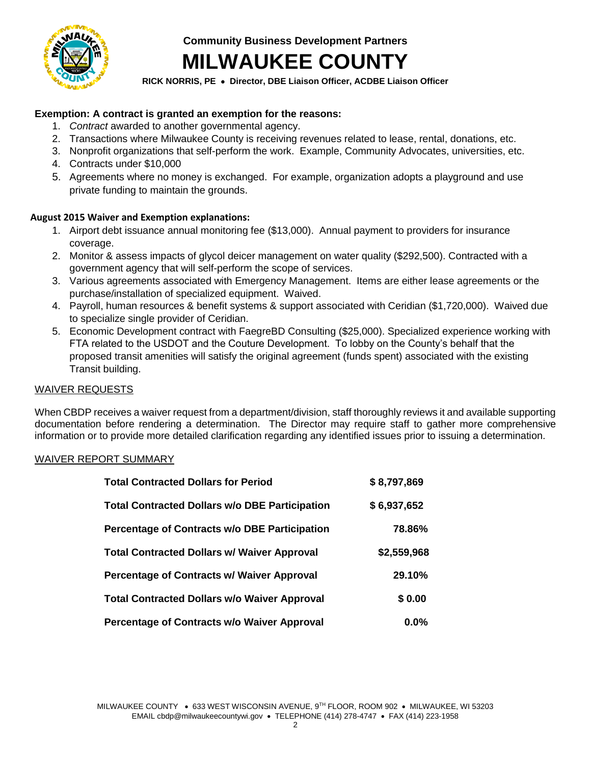

**Community Business Development Partners**

# **MILWAUKEE COUNTY**

**RICK NORRIS, PE Director, DBE Liaison Officer, ACDBE Liaison Officer**

# **Exemption: A contract is granted an exemption for the reasons:**

- 1. *Contract* awarded to another governmental agency.
- 2. Transactions where Milwaukee County is receiving revenues related to lease, rental, donations, etc.
- 3. Nonprofit organizations that self-perform the work. Example, Community Advocates, universities, etc.
- 4. Contracts under \$10,000
- 5. Agreements where no money is exchanged. For example, organization adopts a playground and use private funding to maintain the grounds.

# **August 2015 Waiver and Exemption explanations:**

- 1. Airport debt issuance annual monitoring fee (\$13,000). Annual payment to providers for insurance coverage.
- 2. Monitor & assess impacts of glycol deicer management on water quality (\$292,500). Contracted with a government agency that will self-perform the scope of services.
- 3. Various agreements associated with Emergency Management. Items are either lease agreements or the purchase/installation of specialized equipment. Waived.
- 4. Payroll, human resources & benefit systems & support associated with Ceridian (\$1,720,000). Waived due to specialize single provider of Ceridian.
- 5. Economic Development contract with FaegreBD Consulting (\$25,000). Specialized experience working with FTA related to the USDOT and the Couture Development. To lobby on the County's behalf that the proposed transit amenities will satisfy the original agreement (funds spent) associated with the existing Transit building.

# WAIVER REQUESTS

When CBDP receives a waiver request from a department/division, staff thoroughly reviews it and available supporting documentation before rendering a determination. The Director may require staff to gather more comprehensive information or to provide more detailed clarification regarding any identified issues prior to issuing a determination.

# WAIVER REPORT SUMMARY

| <b>Total Contracted Dollars for Period</b>            | \$8,797,869 |
|-------------------------------------------------------|-------------|
| <b>Total Contracted Dollars w/o DBE Participation</b> | \$6,937,652 |
| Percentage of Contracts w/o DBE Participation         | 78.86%      |
| <b>Total Contracted Dollars w/ Waiver Approval</b>    | \$2,559,968 |
| <b>Percentage of Contracts w/ Waiver Approval</b>     | 29.10%      |
| <b>Total Contracted Dollars w/o Waiver Approval</b>   | \$0.00      |
| Percentage of Contracts w/o Waiver Approval           | $0.0\%$     |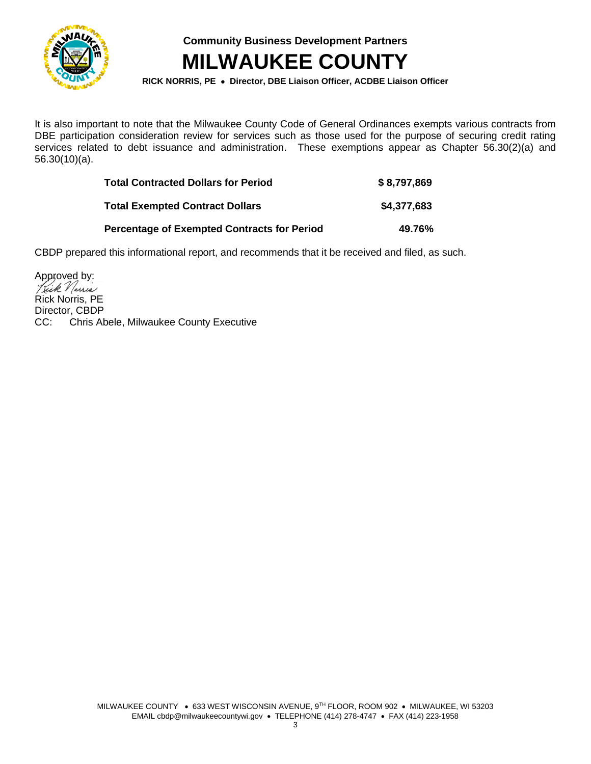

**Community Business Development Partners**

# **MILWAUKEE COUNTY**

**RICK NORRIS, PE Director, DBE Liaison Officer, ACDBE Liaison Officer**

It is also important to note that the Milwaukee County Code of General Ordinances exempts various contracts from DBE participation consideration review for services such as those used for the purpose of securing credit rating services related to debt issuance and administration. These exemptions appear as Chapter 56.30(2)(a) and 56.30(10)(a).

| <b>Total Contracted Dollars for Period</b>         | \$8,797,869 |
|----------------------------------------------------|-------------|
| <b>Total Exempted Contract Dollars</b>             | \$4,377,683 |
| <b>Percentage of Exempted Contracts for Period</b> | 49.76%      |

CBDP prepared this informational report, and recommends that it be received and filed, as such.

Approved by: Rick Norris, PE Director, CBDP CC: Chris Abele, Milwaukee County Executive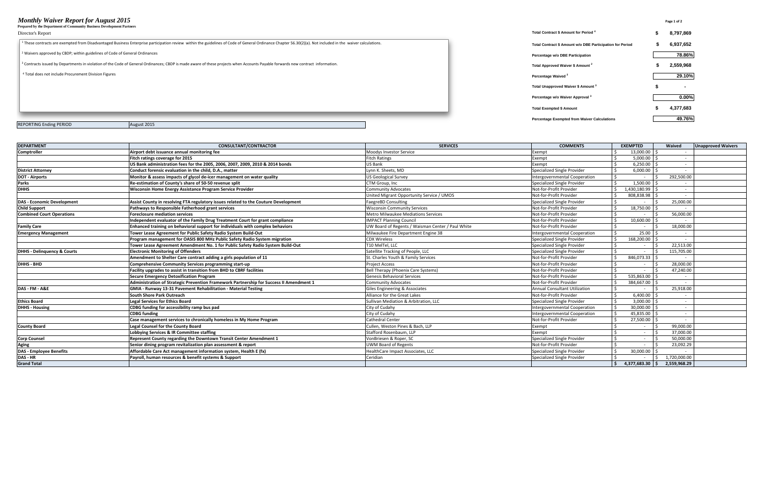#### *Monthly Waiver Report for August 2015* **Page 1 of 2**

**Prepared by the Department of Community Business Development Partners**

| гтераген бучие верагинентог соннишних визнезз ветсюрниент гагинегз                                                                                                                                                     |                                                           |           |
|------------------------------------------------------------------------------------------------------------------------------------------------------------------------------------------------------------------------|-----------------------------------------------------------|-----------|
| Director's Report                                                                                                                                                                                                      | Total Contract \$ Amount for Period 4                     | 8,797,869 |
| <sup>1</sup> These contracts are exempted from Disadvantaged Business Enterprise participation review within the guidelines of Code of General Ordinance Chapter 56.30(2)(a). Not included in the waiver calculations. | Total Contract \$ Amount w/o DBE Participation for Period | 6,937,652 |
| <sup>2</sup> Waivers approved by CBDP; within guidelines of Code of General Ordinances                                                                                                                                 | Percentage w/o DBE Participation                          | 78.86%    |
| <sup>3</sup> Contracts issued by Departments in violation of the Code of General Ordinances; CBDP is made aware of these projects when Accounts Payable forwards new contract information.                             | Total Approved Waiver \$ Amount <sup>2</sup>              | 2,559,968 |
| <sup>4</sup> Total does not include Procurement Division Figures<br>Percentage Waived <sup>2</sup>                                                                                                                     |                                                           | 29.10%    |
|                                                                                                                                                                                                                        | Total Unapproved Waiver \$ Amount 3                       | $\sim$    |
|                                                                                                                                                                                                                        | Percentage w/o Waiver Approval <sup>3</sup>               | $0.00\%$  |
|                                                                                                                                                                                                                        | <b>Total Exempted \$ Amount</b>                           | 4,377,683 |
|                                                                                                                                                                                                                        | <b>Percentage Exempted from Waiver Calculations</b>       | 49.76%    |

REPORTING Ending PERIOD August 2015

| <b>DEPARTMENT</b>                      | <b>CONSULTANT/CONTRACTOR</b>                                                            | <b>SERVICES</b>                                   | <b>COMMENTS</b>                      | <b>EXEMPTED</b>                                       | Waived       | <b>Unapproved Waivers</b> |
|----------------------------------------|-----------------------------------------------------------------------------------------|---------------------------------------------------|--------------------------------------|-------------------------------------------------------|--------------|---------------------------|
| <b>Comptroller</b>                     | Airport debt issuance annual monitoring fee                                             | <b>Moodys Investor Service</b>                    | Exempt                               | 13.000.00                                             |              |                           |
|                                        | Fitch ratings coverage for 2015                                                         | <b>Fitch Ratings</b>                              | Exempt                               | 5,000.00                                              |              |                           |
|                                        | US Bank administration fees for the 2005, 2006, 2007, 2009, 2010 & 2014 bonds           | <b>US Bank</b>                                    | Exempt                               | 6,250.00                                              |              |                           |
| <b>District Attorney</b>               | Conduct forensic evaluation in the child. D.A., matter                                  | Lynn K. Sheets, MD                                | Specialized Single Provider          | 6,000.00                                              |              |                           |
| <b>DOT</b> - Airports                  | Monitor & assess impacts of glycol de-icer management on water quality                  | <b>US Geological Survey</b>                       | Intergovernmental Cooperation        | $\sim$                                                | 292,500.00   |                           |
| <b>Parks</b>                           | Re-estimation of County's share of 50-50 revenue split                                  | CTM Group. Inc.                                   | <b>Specialized Single Provider</b>   | 1.500.00                                              |              |                           |
| <b>DHHS</b>                            | Wisconsin Home Energy Assistance Program Service Provider                               | <b>Community Advocates</b>                        | Not-for-Profit Provider              | 1,430,180.99                                          |              |                           |
|                                        |                                                                                         | United Migrant Opportunity Service / UMOS         | Not-for-Profit Provider              | 808.838.98                                            |              |                           |
| <b>DAS - Economic Development</b>      | Assist County in resolving FTA regulatory issues related to the Couture Development     | <b>FaegreBD Consulting</b>                        | <b>Specialized Single Provider</b>   |                                                       | 25,000.00    |                           |
| <b>Child Support</b>                   | Pathways to Responsible Fatherhood grant services                                       | <b>Wisconsin Community Services</b>               | Not-for-Profit Provider              | 18,750.00                                             |              |                           |
| <b>Combined Court Operations</b>       | <b>Foreclosure mediation services</b>                                                   | <b>Metro Milwaukee Mediations Services</b>        | Not-for-Profit Provider              |                                                       | 56,000.00    |                           |
|                                        | Independent evaluator of the Family Drug Treatment Court for grant compliance           | <b>IMPACT Planning Council</b>                    | Not-for-Profit Provider              | 10,600.00                                             |              |                           |
| <b>Family Care</b>                     | Enhanced training on behavioral support for individuals with complex behaviors          | UW Board of Regents / Waisman Center / Paul White | Not-for-Profit Provider              |                                                       | 18,000.00    |                           |
| <b>Emergency Management</b>            | Tower Lease Agreement for Public Safety Radio System Build-Out                          | Milwaukee Fire Department Engine 38               | <b>Intergovernmental Cooperation</b> | 25.00                                                 |              |                           |
|                                        | Program management for OASIS 800 MHz Public Safety Radio System migration               | <b>CDX Wireless</b>                               | <b>Specialized Single Provider</b>   | 168,200.00                                            |              |                           |
|                                        | Tower Lease Agreement Amendment No. 1 for Public Safety Radio System Build-Out          | T10 MelTel, LLC                                   | Specialized Single Provider          |                                                       | 22,513.00    |                           |
| <b>DHHS - Delinguency &amp; Courts</b> | <b>Electronic Monitoring of Offenders</b>                                               | Satellite Tracking of People, LLC                 | Specialized Single Provider          | $\sim$                                                | 115,705.00   |                           |
|                                        | Amendment to Shelter Care contract adding a girls population of 11                      | St. Charles Youth & Family Services               | Not-for-Profit Provider              | 846,073.33                                            |              |                           |
| <b>DHHS - BHD</b>                      | <b>Comprehensive Community Services programming start-up</b>                            | <b>Project Access</b>                             | Not-for-Profit Provider              | $\sim$                                                | 28,000.00    |                           |
|                                        | Facility upgrades to assist in transition from BHD to CBRF facilities                   | <b>Bell Therapy (Phoenix Care Systems)</b>        | Not-for-Profit Provider              | $\sim$                                                | 47,240.00    |                           |
|                                        | <b>Secure Emergency Detoxification Program</b>                                          | <b>Genesis Behavioral Services</b>                | Not-for-Profit Provider              | 535,863.00                                            | $\sim$       |                           |
|                                        | Administration of Strategic Prevention Framework Partnership for Success II Amendment 1 | <b>Community Advocates</b>                        | Not-for-Profit Provider              | 384,667.00                                            |              |                           |
| DAS - FM - A&E                         | GMIA - Runway 13-31 Pavement Rehabilitation - Material Testing                          | Giles Engineering & Associates                    | <b>Annual Consultant Utilization</b> |                                                       | 25,918.00    |                           |
|                                        | South Shore Park Outreach                                                               | Alliance for the Great Lakes                      | Not-for-Profit Provider              | 6.400.00                                              |              |                           |
| <b>Ethics Board</b>                    | <b>Legal Services for Ethics Board</b>                                                  | Sullivan Mediation & Arbitration, LLC             | Specialized Single Provider          | 3,000.00                                              |              |                           |
| <b>DHHS - Housing</b>                  | CDBG funding for accessibility ramp bus pad                                             | City of Cudahy                                    | Intergovernmental Cooperation        | 30,000.00                                             |              |                           |
|                                        | <b>CDBG</b> funding                                                                     | City of Cudahy                                    | Intergovernmental Cooperation        | 45,835.00                                             |              |                           |
|                                        | Case management services to chronically homeless in My Home Program                     | <b>Cathedral Center</b>                           | Not-for-Profit Provider              | 27,500.00                                             |              |                           |
| <b>County Board</b>                    | <b>Legal Counsel for the County Board</b>                                               | Cullen, Weston Pines & Bach, LLP                  | Exempt                               | $\sim$                                                | 99,000.00    |                           |
|                                        | Lobbying Services & IR Committee staffing                                               | Stafford Rosenbaum, LLP                           | Exempt                               | $\sim$                                                | 37,000.00    |                           |
| <b>Corp Counsel</b>                    | Represent County regarding the Downtown Transit Center Amendment 1                      | VonBriesen & Roper, SC                            | Specialized Single Provider          | $\sim$                                                | 50.000.00    |                           |
| <b>Aging</b>                           | Senior dining program revitalization plan assessment & report                           | <b>UWM Board of Regents</b>                       | Not-for-Profit Provider              | $\sim$                                                | 23,092.29    |                           |
| <b>DAS - Employee Benefits</b>         | Affordable Care Act management information system, Health E (fx)                        | HealthCare Impact Associates, LLC                 | Specialized Single Provider          | 30.000.00                                             |              |                           |
| DAS - HR                               | Payroll, human resources & benefit systems & Support                                    | Ceridian                                          | Specialized Single Provider          |                                                       | 1,720,000.00 |                           |
| <b>Grand Total</b>                     |                                                                                         |                                                   |                                      | $\frac{1}{2}$ 4,377,683.30 $\frac{1}{2}$ 2,559,968.29 |              |                           |